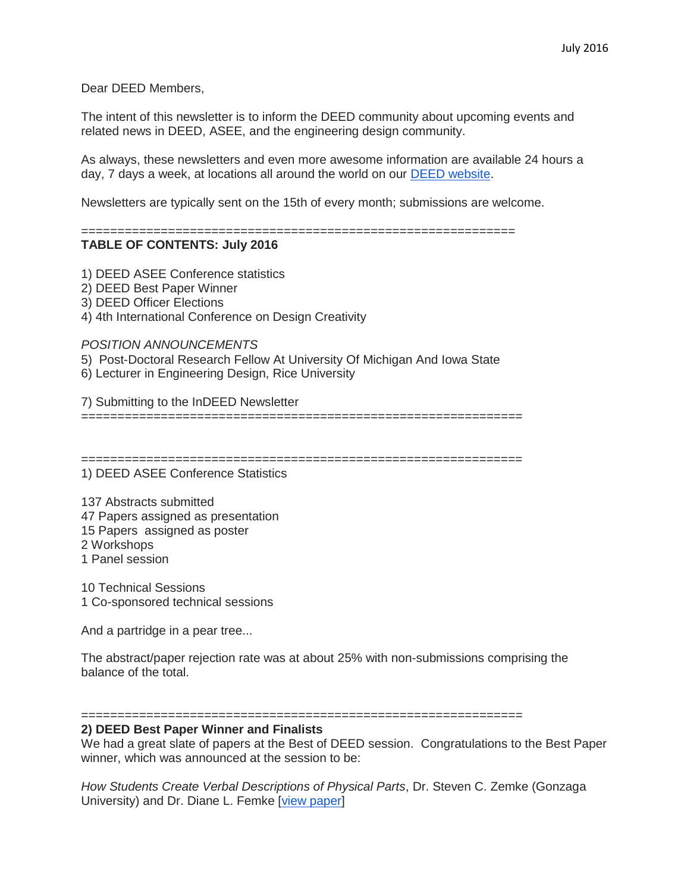Dear DEED Members,

The intent of this newsletter is to inform the DEED community about upcoming events and related news in DEED, ASEE, and the engineering design community.

As always, these newsletters and even more awesome information are available 24 hours a day, 7 days a week, at locations all around the world on our [DEED website.](http://deed.asee.org/)

Newsletters are typically sent on the 15th of every month; submissions are welcome.

============================================================

# **TABLE OF CONTENTS: July 2016**

1) DEED ASEE Conference statistics

2) DEED Best Paper Winner

3) DEED Officer Elections

4) 4th International Conference on Design Creativity

*POSITION ANNOUNCEMENTS*

- 5) Post-Doctoral Research Fellow At University Of Michigan And Iowa State
- 6) Lecturer in Engineering Design, Rice University

7) Submitting to the InDEED Newsletter

=============================================================

=============================================================

1) DEED ASEE Conference Statistics

137 Abstracts submitted 47 Papers assigned as presentation 15 Papers assigned as poster 2 Workshops 1 Panel session

10 Technical Sessions 1 Co-sponsored technical sessions

And a partridge in a pear tree...

The abstract/paper rejection rate was at about 25% with non-submissions comprising the balance of the total.

#### =============================================================

# **2) DEED Best Paper Winner and Finalists**

We had a great slate of papers at the Best of DEED session. Congratulations to the Best Paper winner, which was announced at the session to be:

*How Students Create Verbal Descriptions of Physical Parts*, Dr. Steven C. Zemke (Gonzaga University) and Dr. Diane L. Femke [\[view paper\]](https://peer.asee.org/how-students-create-verbal-descriptions-of-physical-parts)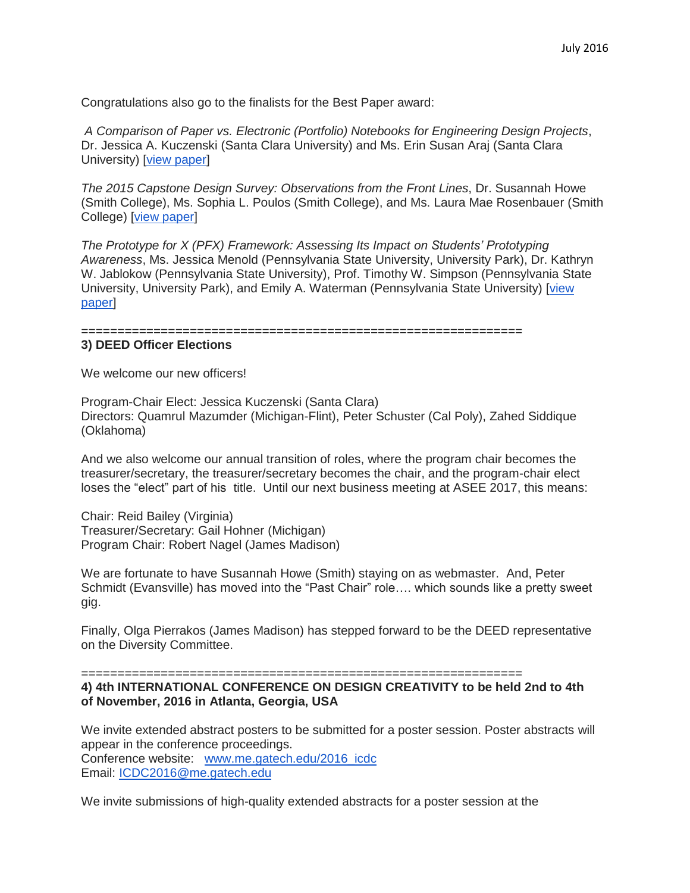Congratulations also go to the finalists for the Best Paper award:

*A Comparison of Paper vs. Electronic (Portfolio) Notebooks for Engineering Design Projects*, Dr. Jessica A. Kuczenski (Santa Clara University) and Ms. Erin Susan Araj (Santa Clara University) [\[view paper\]](https://peer.asee.org/a-comparison-of-paper-vs-electronic-portfolio-notebooks-for-engineering-design-projects)

*The 2015 Capstone Design Survey: Observations from the Front Lines*, Dr. Susannah Howe (Smith College), Ms. Sophia L. Poulos (Smith College), and Ms. Laura Mae Rosenbauer (Smith College) [view [paper\]](https://peer.asee.org/the-2015-capstone-design-survey-observations-from-the-front-lines)

*The Prototype for X (PFX) Framework: Assessing Its Impact on Students' Prototyping Awareness*, Ms. Jessica Menold (Pennsylvania State University, University Park), Dr. Kathryn W. Jablokow (Pennsylvania State University), Prof. Timothy W. Simpson (Pennsylvania State University, University Park), and Emily A. Waterman (Pennsylvania State University) [\[view](https://peer.asee.org/the-prototype-for-x-pfx-framework-assessing-its-impact-on-students-prototyping-awareness)  [paper\]](https://peer.asee.org/the-prototype-for-x-pfx-framework-assessing-its-impact-on-students-prototyping-awareness)

=============================================================

### **3) DEED Officer Elections**

We welcome our new officers!

Program-Chair Elect: Jessica Kuczenski (Santa Clara) Directors: Quamrul Mazumder (Michigan-Flint), Peter Schuster (Cal Poly), Zahed Siddique (Oklahoma)

And we also welcome our annual transition of roles, where the program chair becomes the treasurer/secretary, the treasurer/secretary becomes the chair, and the program-chair elect loses the "elect" part of his title. Until our next business meeting at ASEE 2017, this means:

Chair: Reid Bailey (Virginia) Treasurer/Secretary: Gail Hohner (Michigan) Program Chair: Robert Nagel (James Madison)

We are fortunate to have Susannah Howe (Smith) staying on as webmaster. And, Peter Schmidt (Evansville) has moved into the "Past Chair" role…. which sounds like a pretty sweet gig.

Finally, Olga Pierrakos (James Madison) has stepped forward to be the DEED representative on the Diversity Committee.

============================================================= **4) 4th INTERNATIONAL CONFERENCE ON DESIGN CREATIVITY to be held 2nd to 4th of November, 2016 in Atlanta, Georgia, USA**

We invite extended abstract posters to be submitted for a poster session. Poster abstracts will appear in the conference proceedings. Conference website: [www.me.gatech.edu/2016\\_icdc](http://www.me.gatech.edu/2016_icdc) Email: [ICDC2016@me.gatech.edu](mailto:ICDC2016@me.gatech.edu)

We invite submissions of high-quality extended abstracts for a poster session at the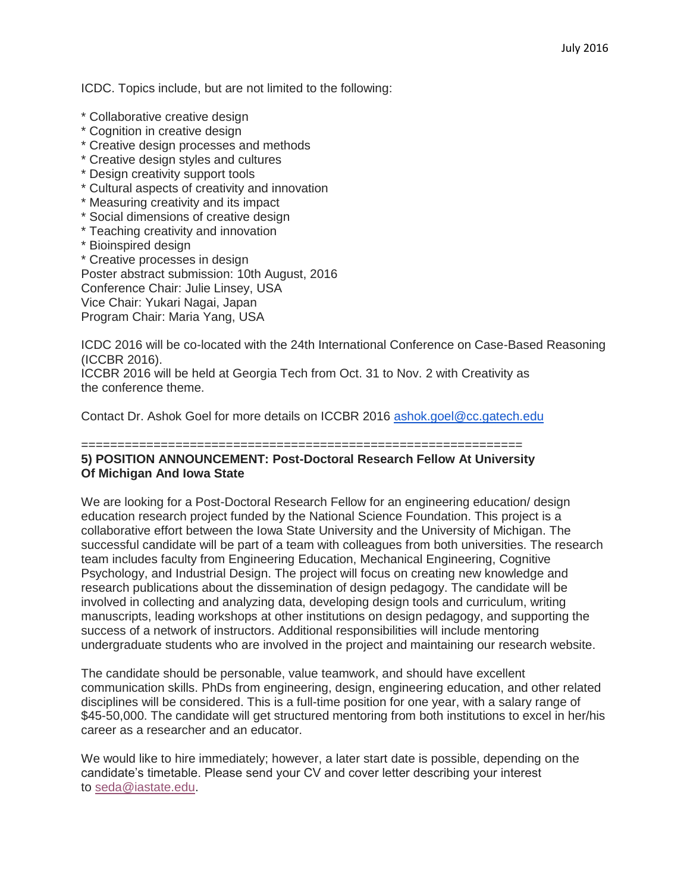ICDC. Topics include, but are not limited to the following:

- \* Collaborative creative design
- \* Cognition in creative design
- \* Creative design processes and methods
- \* Creative design styles and cultures
- \* Design creativity support tools
- \* Cultural aspects of creativity and innovation
- \* Measuring creativity and its impact
- \* Social dimensions of creative design
- \* Teaching creativity and innovation
- \* Bioinspired design

\* Creative processes in design Poster abstract submission: 10th August, 2016 Conference Chair: Julie Linsey, USA Vice Chair: Yukari Nagai, Japan

Program Chair: Maria Yang, USA

ICDC 2016 will be co-located with the 24th International Conference on Case-Based Reasoning (ICCBR 2016).

ICCBR 2016 will be held at Georgia Tech from Oct. 31 to Nov. 2 with Creativity as the conference theme.

Contact Dr. Ashok Goel for more details on ICCBR 2016 [ashok.goel@cc.gatech.edu](mailto:ashok.goel@cc.gatech.edu)

### ============================================================= **5) POSITION ANNOUNCEMENT: Post-Doctoral Research Fellow At University Of Michigan And Iowa State**

We are looking for a Post-Doctoral Research Fellow for an engineering education/ design education research project funded by the National Science Foundation. This project is a collaborative effort between the Iowa State University and the University of Michigan. The successful candidate will be part of a team with colleagues from both universities. The research team includes faculty from Engineering Education, Mechanical Engineering, Cognitive Psychology, and Industrial Design. The project will focus on creating new knowledge and research publications about the dissemination of design pedagogy. The candidate will be involved in collecting and analyzing data, developing design tools and curriculum, writing manuscripts, leading workshops at other institutions on design pedagogy, and supporting the success of a network of instructors. Additional responsibilities will include mentoring undergraduate students who are involved in the project and maintaining our research website.

The candidate should be personable, value teamwork, and should have excellent communication skills. PhDs from engineering, design, engineering education, and other related disciplines will be considered. This is a full-time position for one year, with a salary range of \$45-50,000. The candidate will get structured mentoring from both institutions to excel in her/his career as a researcher and an educator.

We would like to hire immediately; however, a later start date is possible, depending on the candidate's timetable. Please send your CV and cover letter describing your interest to [seda@iastate.edu.](mailto:seda@iastate.edu)